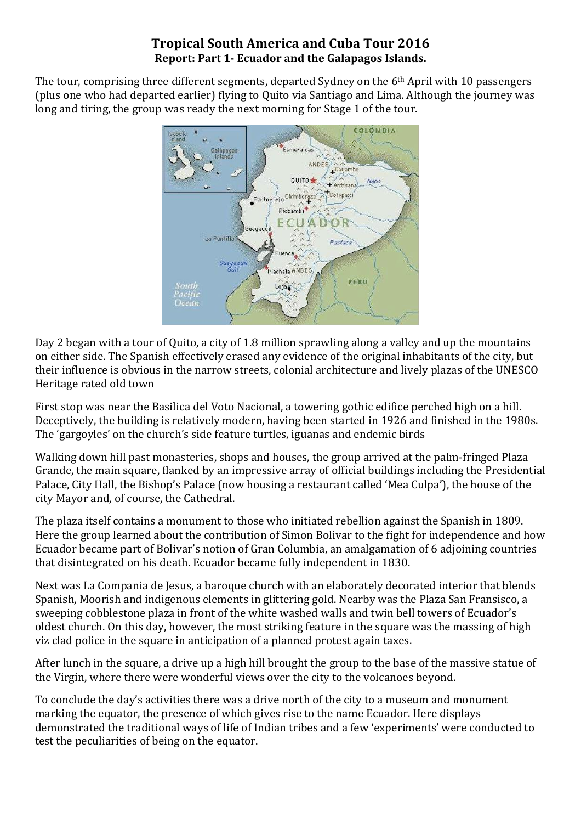## **Tropical South America and Cuba Tour 2016 Report: Part 1- Ecuador and the Galapagos Islands.**

The tour, comprising three different segments, departed Sydney on the 6<sup>th</sup> April with 10 passengers (plus one who had departed earlier) flying to Quito via Santiago and Lima. Although the journey was long and tiring, the group was ready the next morning for Stage 1 of the tour.



Day 2 began with a tour of Quito, a city of 1.8 million sprawling along a valley and up the mountains on either side. The Spanish effectively erased any evidence of the original inhabitants of the city, but their influence is obvious in the narrow streets, colonial architecture and lively plazas of the UNESCO Heritage rated old town

First stop was near the Basilica del Voto Nacional, a towering gothic edifice perched high on a hill. Deceptively, the building is relatively modern, having been started in 1926 and finished in the 1980s. The 'gargoyles' on the church's side feature turtles, iguanas and endemic birds

Walking down hill past monasteries, shops and houses, the group arrived at the palm-fringed Plaza Grande, the main square, flanked by an impressive array of official buildings including the Presidential Palace, City Hall, the Bishop's Palace (now housing a restaurant called 'Mea Culpa'), the house of the city Mayor and, of course, the Cathedral.

The plaza itself contains a monument to those who initiated rebellion against the Spanish in 1809. Here the group learned about the contribution of Simon Bolivar to the fight for independence and how Ecuador became part of Bolivar's notion of Gran Columbia, an amalgamation of 6 adjoining countries that disintegrated on his death. Ecuador became fully independent in 1830.

Next was La Compania de Jesus, a baroque church with an elaborately decorated interior that blends Spanish, Moorish and indigenous elements in glittering gold. Nearby was the Plaza San Fransisco, a sweeping cobblestone plaza in front of the white washed walls and twin bell towers of Ecuador's oldest church. On this day, however, the most striking feature in the square was the massing of high viz clad police in the square in anticipation of a planned protest again taxes.

After lunch in the square, a drive up a high hill brought the group to the base of the massive statue of the Virgin, where there were wonderful views over the city to the volcanoes beyond.

To conclude the day's activities there was a drive north of the city to a museum and monument marking the equator, the presence of which gives rise to the name Ecuador. Here displays demonstrated the traditional ways of life of Indian tribes and a few 'experiments' were conducted to test the peculiarities of being on the equator.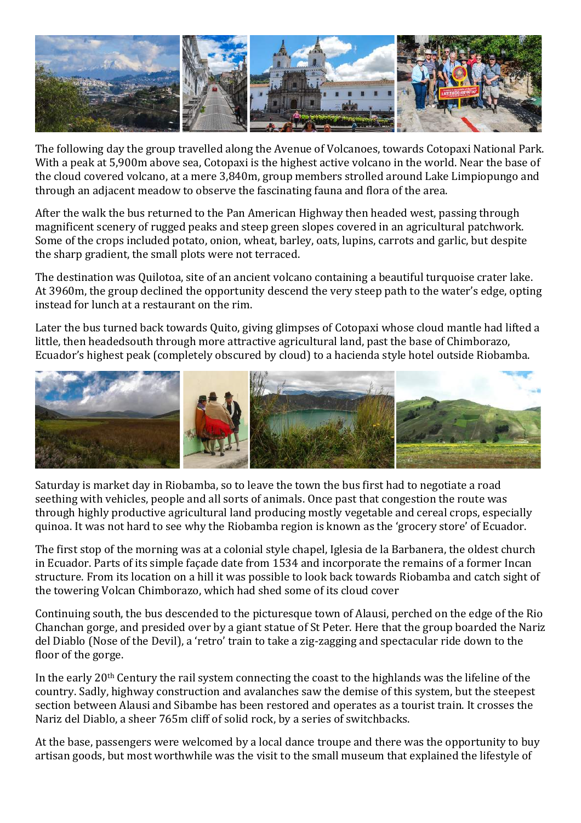

The following day the group travelled along the Avenue of Volcanoes, towards Cotopaxi National Park. With a peak at 5,900m above sea, Cotopaxi is the highest active volcano in the world. Near the base of the cloud covered volcano, at a mere 3,840m, group members strolled around Lake Limpiopungo and through an adjacent meadow to observe the fascinating fauna and flora of the area.

After the walk the bus returned to the Pan American Highway then headed west, passing through magnificent scenery of rugged peaks and steep green slopes covered in an agricultural patchwork. Some of the crops included potato, onion, wheat, barley, oats, lupins, carrots and garlic, but despite the sharp gradient, the small plots were not terraced.

The destination was Quilotoa, site of an ancient volcano containing a beautiful turquoise crater lake. At 3960m, the group declined the opportunity descend the very steep path to the water's edge, opting instead for lunch at a restaurant on the rim.

Later the bus turned back towards Quito, giving glimpses of Cotopaxi whose cloud mantle had lifted a little, then headedsouth through more attractive agricultural land, past the base of Chimborazo, Ecuador's highest peak (completely obscured by cloud) to a hacienda style hotel outside Riobamba.



Saturday is market day in Riobamba, so to leave the town the bus first had to negotiate a road seething with vehicles, people and all sorts of animals. Once past that congestion the route was through highly productive agricultural land producing mostly vegetable and cereal crops, especially quinoa. It was not hard to see why the Riobamba region is known as the 'grocery store' of Ecuador.

The first stop of the morning was at a colonial style chapel, Iglesia de la Barbanera, the oldest church in Ecuador. Parts of its simple façade date from 1534 and incorporate the remains of a former Incan structure. From its location on a hill it was possible to look back towards Riobamba and catch sight of the towering Volcan Chimborazo, which had shed some of its cloud cover

Continuing south, the bus descended to the picturesque town of Alausi, perched on the edge of the Rio Chanchan gorge, and presided over by a giant statue of St Peter. Here that the group boarded the Nariz del Diablo (Nose of the Devil), a 'retro' train to take a zig-zagging and spectacular ride down to the floor of the gorge.

In the early 20<sup>th</sup> Century the rail system connecting the coast to the highlands was the lifeline of the country. Sadly, highway construction and avalanches saw the demise of this system, but the steepest section between Alausi and Sibambe has been restored and operates as a tourist train. It crosses the Nariz del Diablo, a sheer 765m cliff of solid rock, by a series of switchbacks.

At the base, passengers were welcomed by a local dance troupe and there was the opportunity to buy artisan goods, but most worthwhile was the visit to the small museum that explained the lifestyle of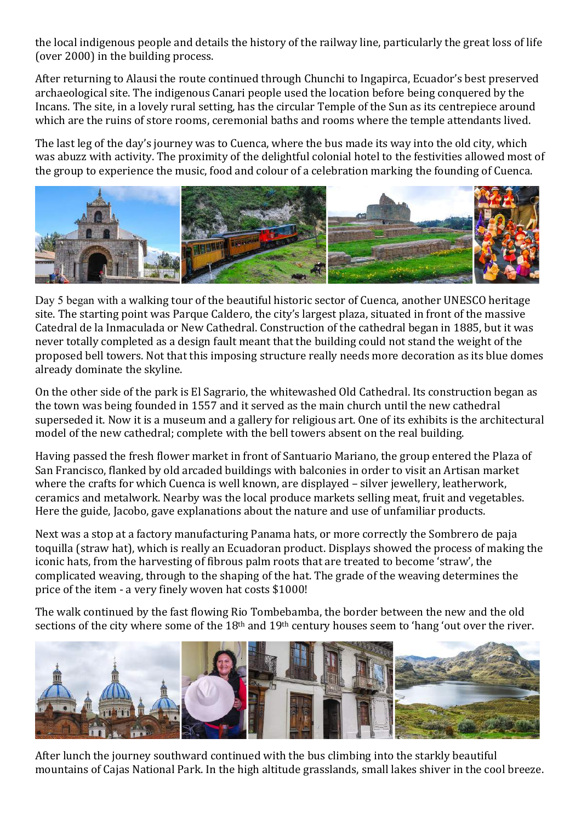the local indigenous people and details the history of the railway line, particularly the great loss of life (over 2000) in the building process.

After returning to Alausi the route continued through Chunchi to Ingapirca, Ecuador's best preserved archaeological site. The indigenous Canari people used the location before being conquered by the Incans. The site, in a lovely rural setting, has the circular Temple of the Sun as its centrepiece around which are the ruins of store rooms, ceremonial baths and rooms where the temple attendants lived.

The last leg of the day's journey was to Cuenca, where the bus made its way into the old city, which was abuzz with activity. The proximity of the delightful colonial hotel to the festivities allowed most of the group to experience the music, food and colour of a celebration marking the founding of Cuenca.



Day 5 began with a walking tour of the beautiful historic sector of Cuenca, another UNESCO heritage site. The starting point was Parque Caldero, the city's largest plaza, situated in front of the massive Catedral de la Inmaculada or New Cathedral. Construction of the cathedral began in 1885, but it was never totally completed as a design fault meant that the building could not stand the weight of the proposed bell towers. Not that this imposing structure really needs more decoration as its blue domes already dominate the skyline.

On the other side of the park is El Sagrario, the whitewashed Old Cathedral. Its construction began as the town was being founded in 1557 and it served as the main church until the new cathedral superseded it. Now it is a museum and a gallery for religious art. One of its exhibits is the architectural model of the new cathedral; complete with the bell towers absent on the real building.

Having passed the fresh flower market in front of Santuario Mariano, the group entered the Plaza of San Francisco, flanked by old arcaded buildings with balconies in order to visit an Artisan market where the crafts for which Cuenca is well known, are displayed – silver jewellery, leatherwork, ceramics and metalwork. Nearby was the local produce markets selling meat, fruit and vegetables. Here the guide, Jacobo, gave explanations about the nature and use of unfamiliar products.

Next was a stop at a factory manufacturing Panama hats, or more correctly the Sombrero de paja toquilla (straw hat), which is really an Ecuadoran product. Displays showed the process of making the iconic hats, from the harvesting of fibrous palm roots that are treated to become 'straw', the complicated weaving, through to the shaping of the hat. The grade of the weaving determines the price of the item - a very finely woven hat costs \$1000!

The walk continued by the fast flowing Rio Tombebamba, the border between the new and the old sections of the city where some of the 18<sup>th</sup> and 19<sup>th</sup> century houses seem to 'hang 'out over the river.



After lunch the journey southward continued with the bus climbing into the starkly beautiful mountains of Cajas National Park. In the high altitude grasslands, small lakes shiver in the cool breeze.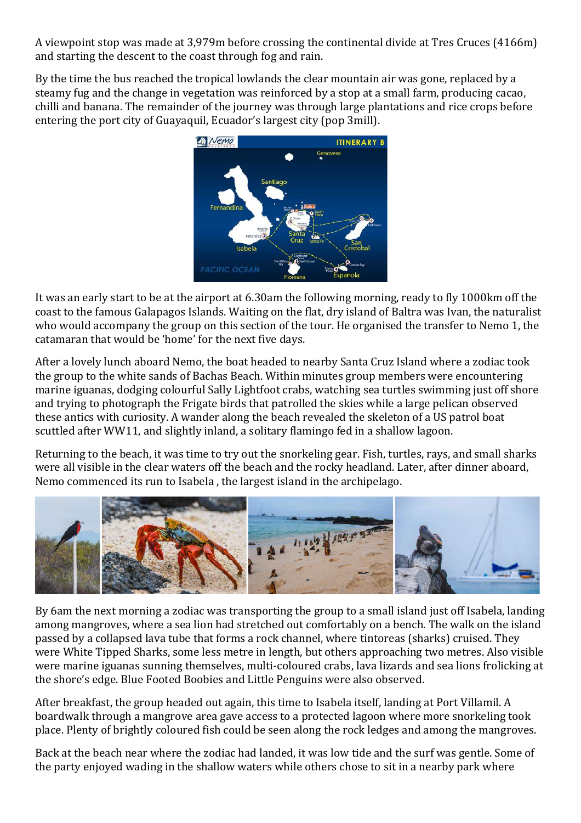A viewpoint stop was made at 3,979m before crossing the continental divide at Tres Cruces (4166m) and starting the descent to the coast through fog and rain.

By the time the bus reached the tropical lowlands the clear mountain air was gone, replaced by a steamy fug and the change in vegetation was reinforced by a stop at a small farm, producing cacao, chilli and banana. The remainder of the journey was through large plantations and rice crops before entering the port city of Guayaquil, Ecuador's largest city (pop 3mill).



It was an early start to be at the airport at 6.30am the following morning, ready to fly 1000km off the coast to the famous Galapagos Islands. Waiting on the flat, dry island of Baltra was Ivan, the naturalist who would accompany the group on this section of the tour. He organised the transfer to Nemo 1, the catamaran that would be 'home' for the next five days.

After a lovely lunch aboard Nemo, the boat headed to nearby Santa Cruz Island where a zodiac took the group to the white sands of Bachas Beach. Within minutes group members were encountering marine iguanas, dodging colourful Sally Lightfoot crabs, watching sea turtles swimming just off shore and trying to photograph the Frigate birds that patrolled the skies while a large pelican observed these antics with curiosity. A wander along the beach revealed the skeleton of a US patrol boat scuttled after WW11, and slightly inland, a solitary flamingo fed in a shallow lagoon.

Returning to the beach, it was time to try out the snorkeling gear. Fish, turtles, rays, and small sharks were all visible in the clear waters off the beach and the rocky headland. Later, after dinner aboard, Nemo commenced its run to Isabela , the largest island in the archipelago.



By 6am the next morning a zodiac was transporting the group to a small island just off Isabela, landing among mangroves, where a sea lion had stretched out comfortably on a bench. The walk on the island passed by a collapsed lava tube that forms a rock channel, where tintoreas (sharks) cruised. They were White Tipped Sharks, some less metre in length, but others approaching two metres. Also visible were marine iguanas sunning themselves, multi-coloured crabs, lava lizards and sea lions frolicking at the shore's edge. Blue Footed Boobies and Little Penguins were also observed.

After breakfast, the group headed out again, this time to Isabela itself, landing at Port Villamil. A boardwalk through a mangrove area gave access to a protected lagoon where more snorkeling took place. Plenty of brightly coloured fish could be seen along the rock ledges and among the mangroves.

Back at the beach near where the zodiac had landed, it was low tide and the surf was gentle. Some of the party enjoyed wading in the shallow waters while others chose to sit in a nearby park where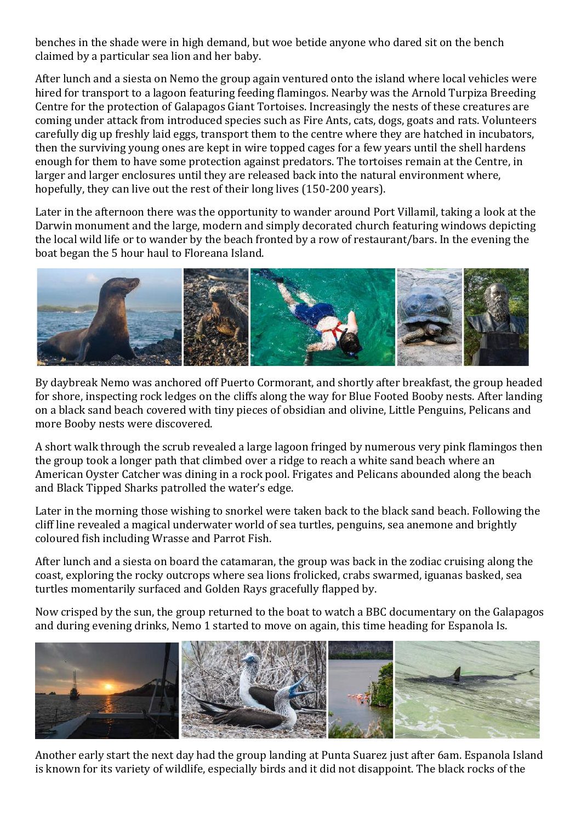benches in the shade were in high demand, but woe betide anyone who dared sit on the bench claimed by a particular sea lion and her baby.

After lunch and a siesta on Nemo the group again ventured onto the island where local vehicles were hired for transport to a lagoon featuring feeding flamingos. Nearby was the Arnold Turpiza Breeding Centre for the protection of Galapagos Giant Tortoises. Increasingly the nests of these creatures are coming under attack from introduced species such as Fire Ants, cats, dogs, goats and rats. Volunteers carefully dig up freshly laid eggs, transport them to the centre where they are hatched in incubators, then the surviving young ones are kept in wire topped cages for a few years until the shell hardens enough for them to have some protection against predators. The tortoises remain at the Centre, in larger and larger enclosures until they are released back into the natural environment where, hopefully, they can live out the rest of their long lives (150-200 years).

Later in the afternoon there was the opportunity to wander around Port Villamil, taking a look at the Darwin monument and the large, modern and simply decorated church featuring windows depicting the local wild life or to wander by the beach fronted by a row of restaurant/bars. In the evening the boat began the 5 hour haul to Floreana Island.



By daybreak Nemo was anchored off Puerto Cormorant, and shortly after breakfast, the group headed for shore, inspecting rock ledges on the cliffs along the way for Blue Footed Booby nests. After landing on a black sand beach covered with tiny pieces of obsidian and olivine, Little Penguins, Pelicans and more Booby nests were discovered.

A short walk through the scrub revealed a large lagoon fringed by numerous very pink flamingos then the group took a longer path that climbed over a ridge to reach a white sand beach where an American Oyster Catcher was dining in a rock pool. Frigates and Pelicans abounded along the beach and Black Tipped Sharks patrolled the water's edge.

Later in the morning those wishing to snorkel were taken back to the black sand beach. Following the cliff line revealed a magical underwater world of sea turtles, penguins, sea anemone and brightly coloured fish including Wrasse and Parrot Fish.

After lunch and a siesta on board the catamaran, the group was back in the zodiac cruising along the coast, exploring the rocky outcrops where sea lions frolicked, crabs swarmed, iguanas basked, sea turtles momentarily surfaced and Golden Rays gracefully flapped by.

Now crisped by the sun, the group returned to the boat to watch a BBC documentary on the Galapagos and during evening drinks, Nemo 1 started to move on again, this time heading for Espanola Is.



Another early start the next day had the group landing at Punta Suarez just after 6am. Espanola Island is known for its variety of wildlife, especially birds and it did not disappoint. The black rocks of the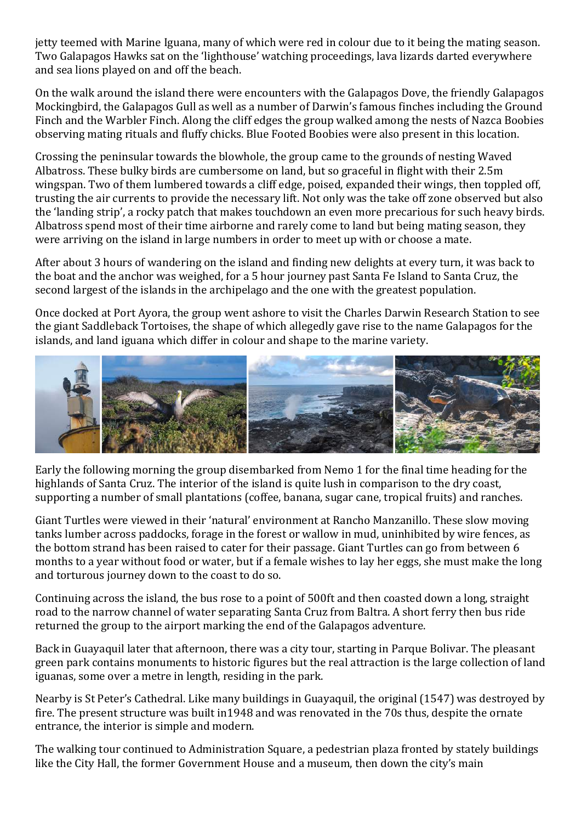jetty teemed with Marine Iguana, many of which were red in colour due to it being the mating season. Two Galapagos Hawks sat on the 'lighthouse' watching proceedings, lava lizards darted everywhere and sea lions played on and off the beach.

On the walk around the island there were encounters with the Galapagos Dove, the friendly Galapagos Mockingbird, the Galapagos Gull as well as a number of Darwin's famous finches including the Ground Finch and the Warbler Finch. Along the cliff edges the group walked among the nests of Nazca Boobies observing mating rituals and fluffy chicks. Blue Footed Boobies were also present in this location.

Crossing the peninsular towards the blowhole, the group came to the grounds of nesting Waved Albatross. These bulky birds are cumbersome on land, but so graceful in flight with their 2.5m wingspan. Two of them lumbered towards a cliff edge, poised, expanded their wings, then toppled off, trusting the air currents to provide the necessary lift. Not only was the take off zone observed but also the 'landing strip', a rocky patch that makes touchdown an even more precarious for such heavy birds. Albatross spend most of their time airborne and rarely come to land but being mating season, they were arriving on the island in large numbers in order to meet up with or choose a mate.

After about 3 hours of wandering on the island and finding new delights at every turn, it was back to the boat and the anchor was weighed, for a 5 hour journey past Santa Fe Island to Santa Cruz, the second largest of the islands in the archipelago and the one with the greatest population.

Once docked at Port Ayora, the group went ashore to visit the Charles Darwin Research Station to see the giant Saddleback Tortoises, the shape of which allegedly gave rise to the name Galapagos for the islands, and land iguana which differ in colour and shape to the marine variety.



Early the following morning the group disembarked from Nemo 1 for the final time heading for the highlands of Santa Cruz. The interior of the island is quite lush in comparison to the dry coast, supporting a number of small plantations (coffee, banana, sugar cane, tropical fruits) and ranches.

Giant Turtles were viewed in their 'natural' environment at Rancho Manzanillo. These slow moving tanks lumber across paddocks, forage in the forest or wallow in mud, uninhibited by wire fences, as the bottom strand has been raised to cater for their passage. Giant Turtles can go from between 6 months to a year without food or water, but if a female wishes to lay her eggs, she must make the long and torturous journey down to the coast to do so.

Continuing across the island, the bus rose to a point of 500ft and then coasted down a long, straight road to the narrow channel of water separating Santa Cruz from Baltra. A short ferry then bus ride returned the group to the airport marking the end of the Galapagos adventure.

Back in Guayaquil later that afternoon, there was a city tour, starting in Parque Bolivar. The pleasant green park contains monuments to historic figures but the real attraction is the large collection of land iguanas, some over a metre in length, residing in the park.

Nearby is St Peter's Cathedral. Like many buildings in Guayaquil, the original (1547) was destroyed by fire. The present structure was built in1948 and was renovated in the 70s thus, despite the ornate entrance, the interior is simple and modern.

The walking tour continued to Administration Square, a pedestrian plaza fronted by stately buildings like the City Hall, the former Government House and a museum, then down the city's main